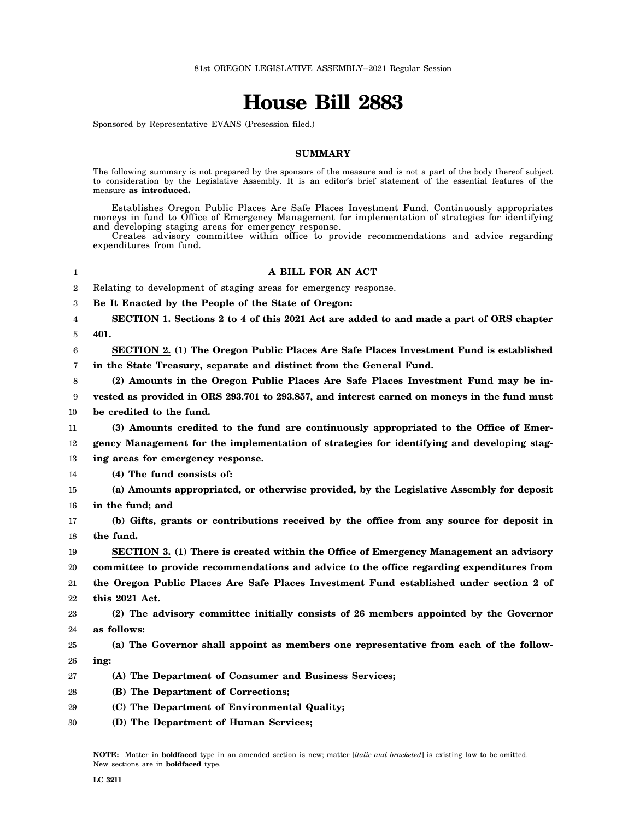## **House Bill 2883**

Sponsored by Representative EVANS (Presession filed.)

## **SUMMARY**

The following summary is not prepared by the sponsors of the measure and is not a part of the body thereof subject to consideration by the Legislative Assembly. It is an editor's brief statement of the essential features of the measure **as introduced.**

Establishes Oregon Public Places Are Safe Places Investment Fund. Continuously appropriates moneys in fund to Office of Emergency Management for implementation of strategies for identifying and developing staging areas for emergency response.

Creates advisory committee within office to provide recommendations and advice regarding expenditures from fund.

| 1  | A BILL FOR AN ACT                                                                            |
|----|----------------------------------------------------------------------------------------------|
| 2  | Relating to development of staging areas for emergency response.                             |
| 3  | Be It Enacted by the People of the State of Oregon:                                          |
| 4  | SECTION 1. Sections 2 to 4 of this 2021 Act are added to and made a part of ORS chapter      |
| 5  | 401.                                                                                         |
| 6  | SECTION 2. (1) The Oregon Public Places Are Safe Places Investment Fund is established       |
| 7  | in the State Treasury, separate and distinct from the General Fund.                          |
| 8  | (2) Amounts in the Oregon Public Places Are Safe Places Investment Fund may be in-           |
| 9  | vested as provided in ORS 293.701 to 293.857, and interest earned on moneys in the fund must |
| 10 | be credited to the fund.                                                                     |
| 11 | (3) Amounts credited to the fund are continuously appropriated to the Office of Emer-        |
| 12 | gency Management for the implementation of strategies for identifying and developing stag-   |
| 13 | ing areas for emergency response.                                                            |
| 14 | (4) The fund consists of:                                                                    |
| 15 | (a) Amounts appropriated, or otherwise provided, by the Legislative Assembly for deposit     |
| 16 | in the fund; and                                                                             |
| 17 | (b) Gifts, grants or contributions received by the office from any source for deposit in     |
| 18 | the fund.                                                                                    |
| 19 | SECTION 3. (1) There is created within the Office of Emergency Management an advisory        |
| 20 | committee to provide recommendations and advice to the office regarding expenditures from    |
| 21 | the Oregon Public Places Are Safe Places Investment Fund established under section 2 of      |
| 22 | this 2021 Act.                                                                               |
| 23 | (2) The advisory committee initially consists of 26 members appointed by the Governor        |
| 24 | as follows:                                                                                  |
| 25 | (a) The Governor shall appoint as members one representative from each of the follow-        |
| 26 | ing:                                                                                         |
| 27 | (A) The Department of Consumer and Business Services;                                        |
| 28 | (B) The Department of Corrections;                                                           |
| 29 | (C) The Department of Environmental Quality;                                                 |
| 30 | (D) The Department of Human Services;                                                        |
|    |                                                                                              |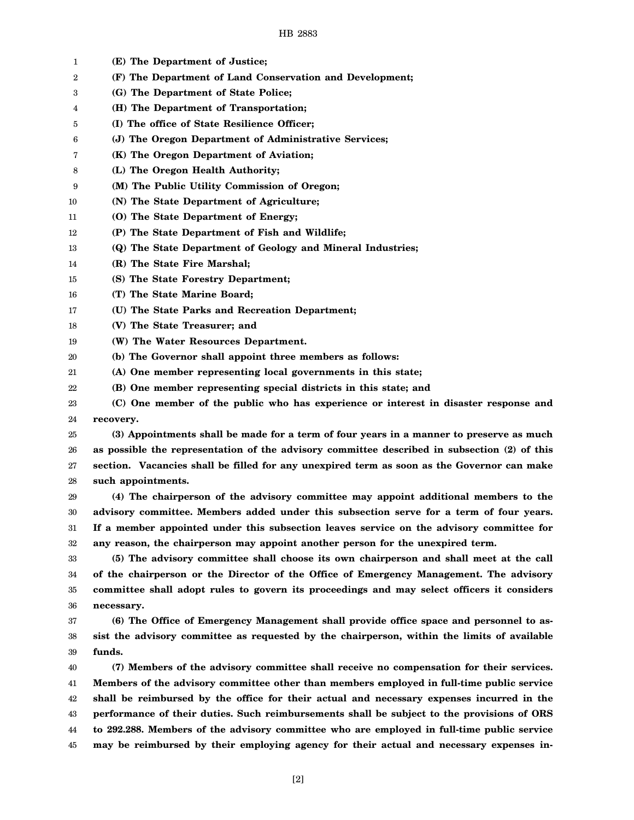| 1  | (E) The Department of Justice;                                                               |
|----|----------------------------------------------------------------------------------------------|
| 2  | (F) The Department of Land Conservation and Development;                                     |
| 3  | (G) The Department of State Police;                                                          |
| 4  | (H) The Department of Transportation;                                                        |
| 5  | (I) The office of State Resilience Officer;                                                  |
| 6  | (J) The Oregon Department of Administrative Services;                                        |
| 7  | (K) The Oregon Department of Aviation;                                                       |
| 8  | (L) The Oregon Health Authority;                                                             |
| 9  | (M) The Public Utility Commission of Oregon;                                                 |
| 10 | (N) The State Department of Agriculture;                                                     |
| 11 | (O) The State Department of Energy;                                                          |
| 12 | (P) The State Department of Fish and Wildlife;                                               |
| 13 | (Q) The State Department of Geology and Mineral Industries;                                  |
| 14 | (R) The State Fire Marshal;                                                                  |
| 15 | (S) The State Forestry Department;                                                           |
| 16 | (T) The State Marine Board;                                                                  |
| 17 | (U) The State Parks and Recreation Department;                                               |
| 18 | (V) The State Treasurer; and                                                                 |
| 19 | (W) The Water Resources Department.                                                          |
| 20 | (b) The Governor shall appoint three members as follows:                                     |
| 21 | (A) One member representing local governments in this state;                                 |
| 22 | (B) One member representing special districts in this state; and                             |
| 23 | (C) One member of the public who has experience or interest in disaster response and         |
| 24 | recovery.                                                                                    |
| 25 | (3) Appointments shall be made for a term of four years in a manner to preserve as much      |
| 26 | as possible the representation of the advisory committee described in subsection (2) of this |
| 27 | section. Vacancies shall be filled for any unexpired term as soon as the Governor can make   |
| 28 | such appointments.                                                                           |
| 29 | (4) The chairperson of the advisory committee may appoint additional members to the          |
| 30 | advisory committee. Members added under this subsection serve for a term of four years.      |
| 31 | If a member appointed under this subsection leaves service on the advisory committee for     |
| 32 | any reason, the chairperson may appoint another person for the unexpired term.               |
| 33 | (5) The advisory committee shall choose its own chairperson and shall meet at the call       |
| 34 | of the chairperson or the Director of the Office of Emergency Management. The advisory       |
| 35 | committee shall adopt rules to govern its proceedings and may select officers it considers   |
| 36 | necessary.                                                                                   |
| 37 | (6) The Office of Emergency Management shall provide office space and personnel to as-       |
| 38 | sist the advisory committee as requested by the chairperson, within the limits of available  |
| 39 | funds.                                                                                       |
| 40 | (7) Members of the advisory committee shall receive no compensation for their services.      |
| 41 | Members of the advisory committee other than members employed in full-time public service    |
| 42 | shall be reimbursed by the office for their actual and necessary expenses incurred in the    |
| 43 | performance of their duties. Such reimbursements shall be subject to the provisions of ORS   |
| 44 | to 292.288. Members of the advisory committee who are employed in full-time public service   |
| 45 | may be reimbursed by their employing agency for their actual and necessary expenses in-      |